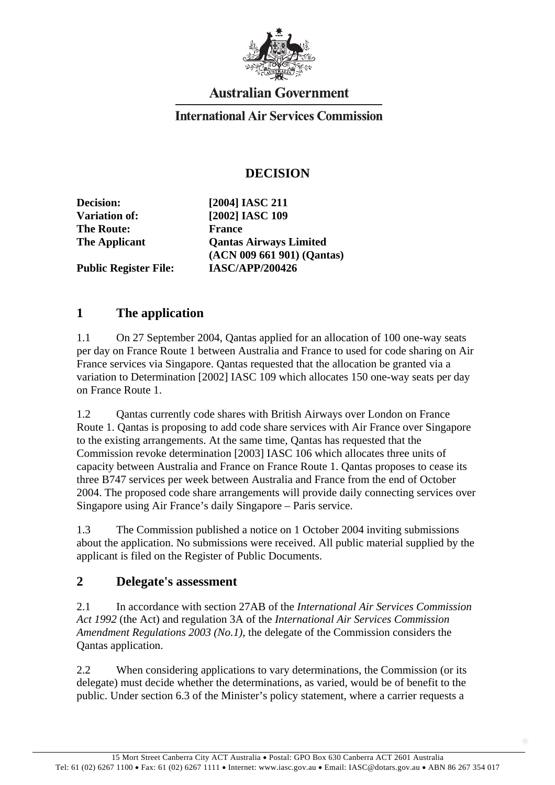

# **Australian Government**

#### **International Air Services Commission**

### **DECISION**

**The Route: France** 

**Decision: [2004] IASC 211 Variation of: [2002] IASC 109 The Applicant Qantas Airways Limited (ACN 009 661 901) (Qantas) Public Register File: IASC/APP/200426** 

### **1 The application**

1.1 On 27 September 2004, Qantas applied for an allocation of 100 one-way seats per day on France Route 1 between Australia and France to used for code sharing on Air France services via Singapore. Qantas requested that the allocation be granted via a variation to Determination [2002] IASC 109 which allocates 150 one-way seats per day on France Route 1.

1.2 Qantas currently code shares with British Airways over London on France Route 1. Qantas is proposing to add code share services with Air France over Singapore to the existing arrangements. At the same time, Qantas has requested that the Commission revoke determination [2003] IASC 106 which allocates three units of capacity between Australia and France on France Route 1. Qantas proposes to cease its three B747 services per week between Australia and France from the end of October 2004. The proposed code share arrangements will provide daily connecting services over Singapore using Air France's daily Singapore – Paris service.

1.3 The Commission published a notice on 1 October 2004 inviting submissions about the application. No submissions were received. All public material supplied by the applicant is filed on the Register of Public Documents.

#### **2 Delegate's assessment**

2.1 In accordance with section 27AB of the *International Air Services Commission Act 1992* (the Act) and regulation 3A of the *International Air Services Commission Amendment Regulations 2003 (No.1)*, the delegate of the Commission considers the Qantas application.

2.2 When considering applications to vary determinations, the Commission (or its delegate) must decide whether the determinations, as varied, would be of benefit to the public. Under section 6.3 of the Minister's policy statement, where a carrier requests a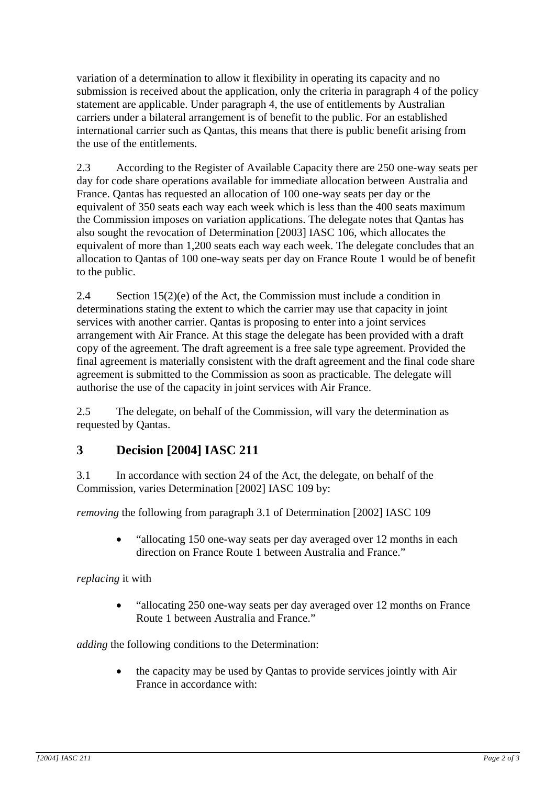variation of a determination to allow it flexibility in operating its capacity and no submission is received about the application, only the criteria in paragraph 4 of the policy statement are applicable. Under paragraph 4, the use of entitlements by Australian carriers under a bilateral arrangement is of benefit to the public. For an established international carrier such as Qantas, this means that there is public benefit arising from the use of the entitlements.

2.3 According to the Register of Available Capacity there are 250 one-way seats per day for code share operations available for immediate allocation between Australia and France. Qantas has requested an allocation of 100 one-way seats per day or the equivalent of 350 seats each way each week which is less than the 400 seats maximum the Commission imposes on variation applications. The delegate notes that Qantas has also sought the revocation of Determination [2003] IASC 106, which allocates the equivalent of more than 1,200 seats each way each week. The delegate concludes that an allocation to Qantas of 100 one-way seats per day on France Route 1 would be of benefit to the public.

2.4 Section 15(2)(e) of the Act, the Commission must include a condition in determinations stating the extent to which the carrier may use that capacity in joint services with another carrier. Qantas is proposing to enter into a joint services arrangement with Air France. At this stage the delegate has been provided with a draft copy of the agreement. The draft agreement is a free sale type agreement. Provided the final agreement is materially consistent with the draft agreement and the final code share agreement is submitted to the Commission as soon as practicable. The delegate will authorise the use of the capacity in joint services with Air France.

2.5 The delegate, on behalf of the Commission, will vary the determination as requested by Qantas.

## **3 Decision [2004] IASC 211**

3.1 In accordance with section 24 of the Act, the delegate, on behalf of the Commission, varies Determination [2002] IASC 109 by:

*removing* the following from paragraph 3.1 of Determination [2002] IASC 109

• "allocating 150 one-way seats per day averaged over 12 months in each direction on France Route 1 between Australia and France."

*replacing* it with

• "allocating 250 one-way seats per day averaged over 12 months on France Route 1 between Australia and France."

*adding* the following conditions to the Determination:

• the capacity may be used by Qantas to provide services jointly with Air France in accordance with: